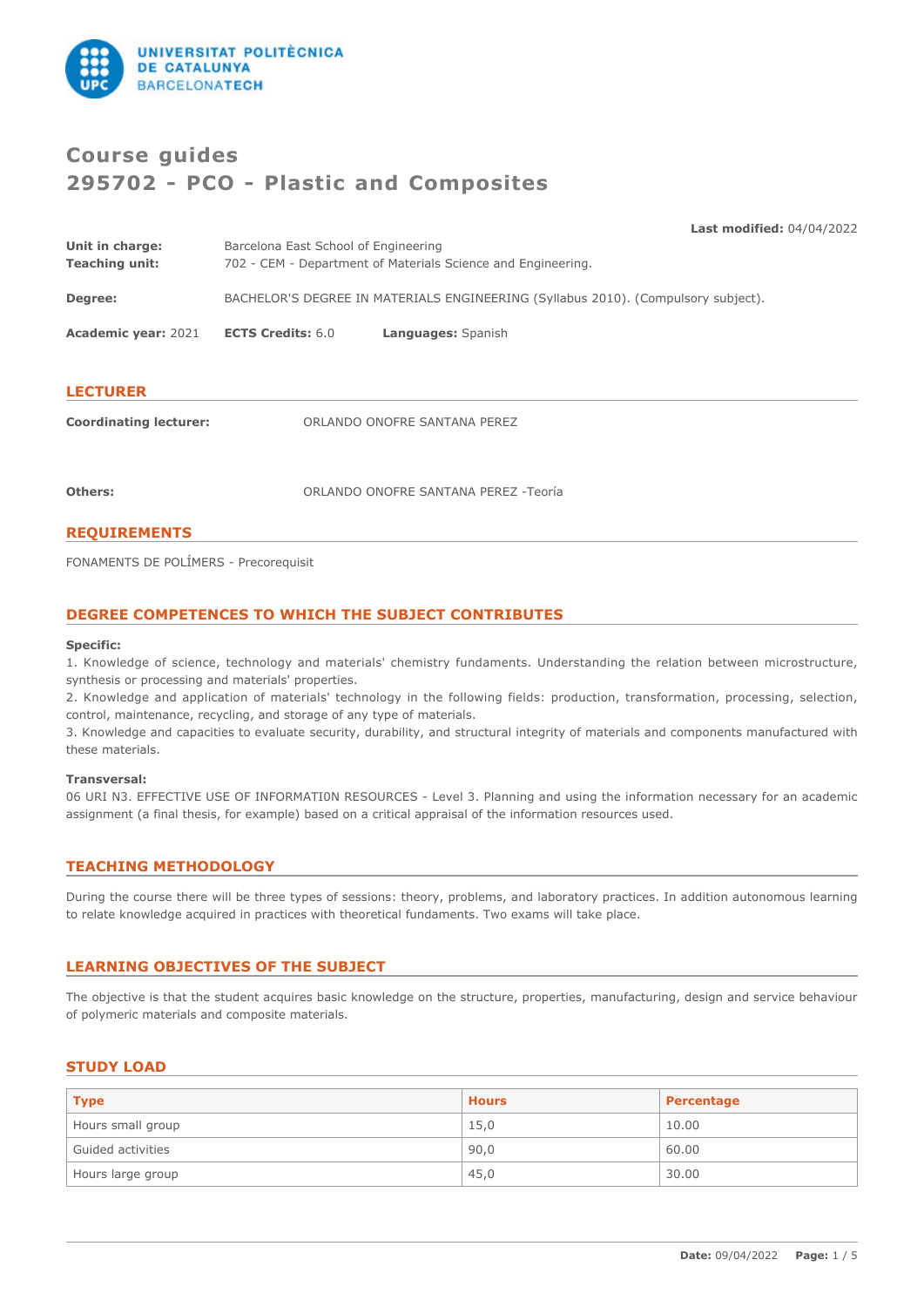

# **Course guides 295702 - PCO - Plastic and Composites**

**Last modified:** 04/04/2022

| Unit in charge:<br><b>Teaching unit:</b> | Barcelona East School of Engineering<br>702 - CEM - Department of Materials Science and Engineering. |  |  |
|------------------------------------------|------------------------------------------------------------------------------------------------------|--|--|
| Degree:                                  | BACHELOR'S DEGREE IN MATERIALS ENGINEERING (Syllabus 2010). (Compulsory subject).                    |  |  |
| <b>Academic year: 2021</b>               | <b>ECTS Credits: 6.0</b><br>Languages: Spanish                                                       |  |  |
| <b>LECTURER</b>                          |                                                                                                      |  |  |
| <b>Coordinating lecturer:</b>            | ORLANDO ONOFRE SANTANA PEREZ                                                                         |  |  |

**Others:** ORLANDO ONOFRE SANTANA PEREZ -Teoría

# **REQUIREMENTS**

FONAMENTS DE POLÍMERS - Precorequisit

# **DEGREE COMPETENCES TO WHICH THE SUBJECT CONTRIBUTES**

#### **Specific:**

1. Knowledge of science, technology and materials' chemistry fundaments. Understanding the relation between microstructure, synthesis or processing and materials' properties.

2. Knowledge and application of materials' technology in the following fields: production, transformation, processing, selection, control, maintenance, recycling, and storage of any type of materials.

3. Knowledge and capacities to evaluate security, durability, and structural integrity of materials and components manufactured with these materials.

#### **Transversal:**

06 URI N3. EFFECTIVE USE OF INFORMATI0N RESOURCES - Level 3. Planning and using the information necessary for an academic assignment (a final thesis, for example) based on a critical appraisal of the information resources used.

# **TEACHING METHODOLOGY**

During the course there will be three types of sessions: theory, problems, and laboratory practices. In addition autonomous learning to relate knowledge acquired in practices with theoretical fundaments. Two exams will take place.

# **LEARNING OBJECTIVES OF THE SUBJECT**

The objective is that the student acquires basic knowledge on the structure, properties, manufacturing, design and service behaviour of polymeric materials and composite materials.

# **STUDY LOAD**

| <b>Type</b>       | <b>Hours</b> | Percentage |
|-------------------|--------------|------------|
| Hours small group | 15,0         | 10.00      |
| Guided activities | 90,0         | 60.00      |
| Hours large group | 45,0         | 30.00      |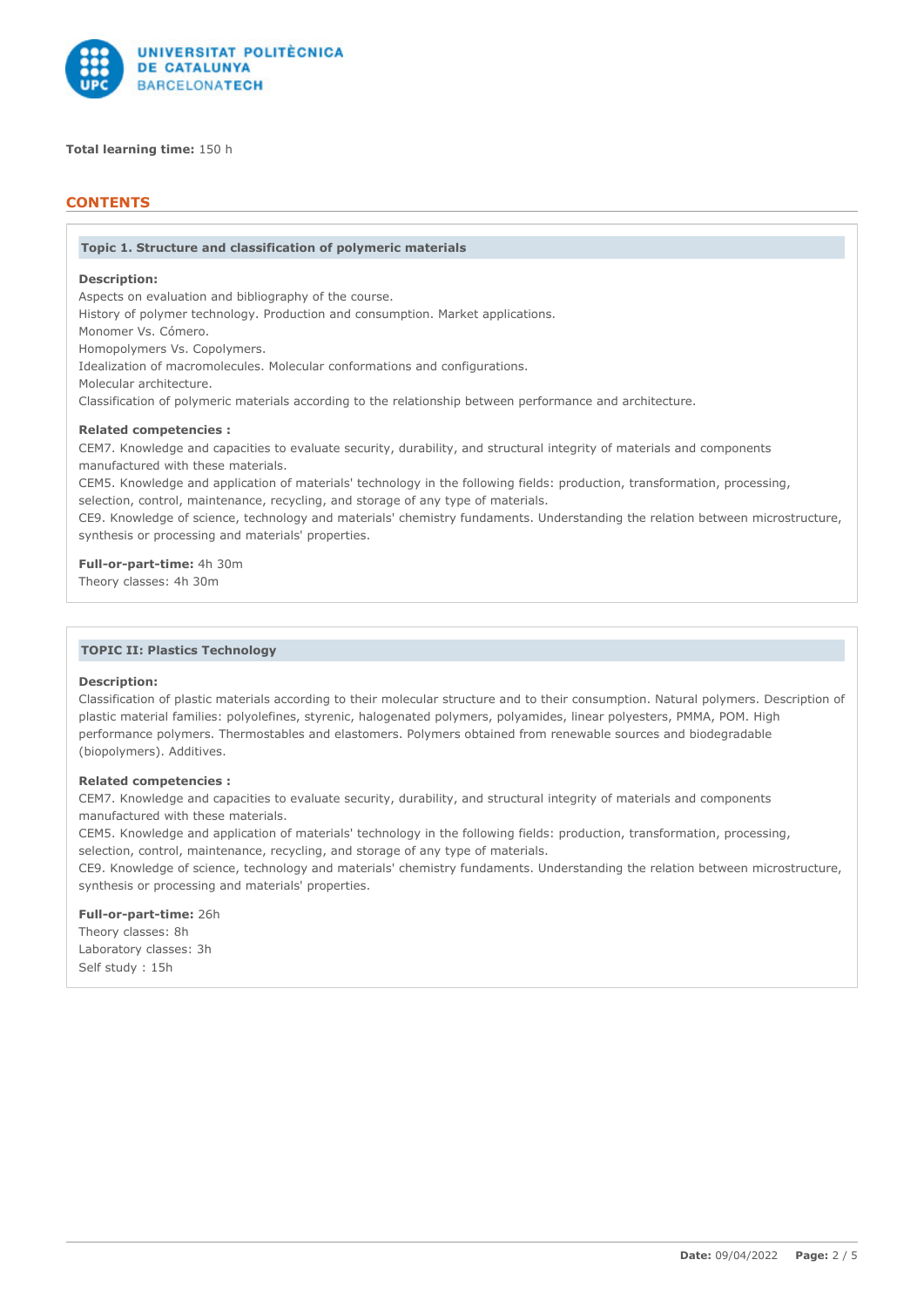

**Total learning time:** 150 h

# **CONTENTS**

#### **Topic 1. Structure and classification of polymeric materials**

# **Description:**

Aspects on evaluation and bibliography of the course. History of polymer technology. Production and consumption. Market applications. Monomer Vs. Cómero. Homopolymers Vs. Copolymers. Idealization of macromolecules. Molecular conformations and configurations. Molecular architecture. Classification of polymeric materials according to the relationship between performance and architecture.

# **Related competencies :**

CEM7. Knowledge and capacities to evaluate security, durability, and structural integrity of materials and components manufactured with these materials.

CEM5. Knowledge and application of materials' technology in the following fields: production, transformation, processing, selection, control, maintenance, recycling, and storage of any type of materials.

CE9. Knowledge of science, technology and materials' chemistry fundaments. Understanding the relation between microstructure, synthesis or processing and materials' properties.

**Full-or-part-time:** 4h 30m Theory classes: 4h 30m

## **TOPIC II: Plastics Technology**

#### **Description:**

Classification of plastic materials according to their molecular structure and to their consumption. Natural polymers. Description of plastic material families: polyolefines, styrenic, halogenated polymers, polyamides, linear polyesters, PMMA, POM. High performance polymers. Thermostables and elastomers. Polymers obtained from renewable sources and biodegradable (biopolymers). Additives.

## **Related competencies :**

CEM7. Knowledge and capacities to evaluate security, durability, and structural integrity of materials and components manufactured with these materials.

CEM5. Knowledge and application of materials' technology in the following fields: production, transformation, processing, selection, control, maintenance, recycling, and storage of any type of materials.

CE9. Knowledge of science, technology and materials' chemistry fundaments. Understanding the relation between microstructure, synthesis or processing and materials' properties.

# **Full-or-part-time:** 26h

Theory classes: 8h Laboratory classes: 3h Self study : 15h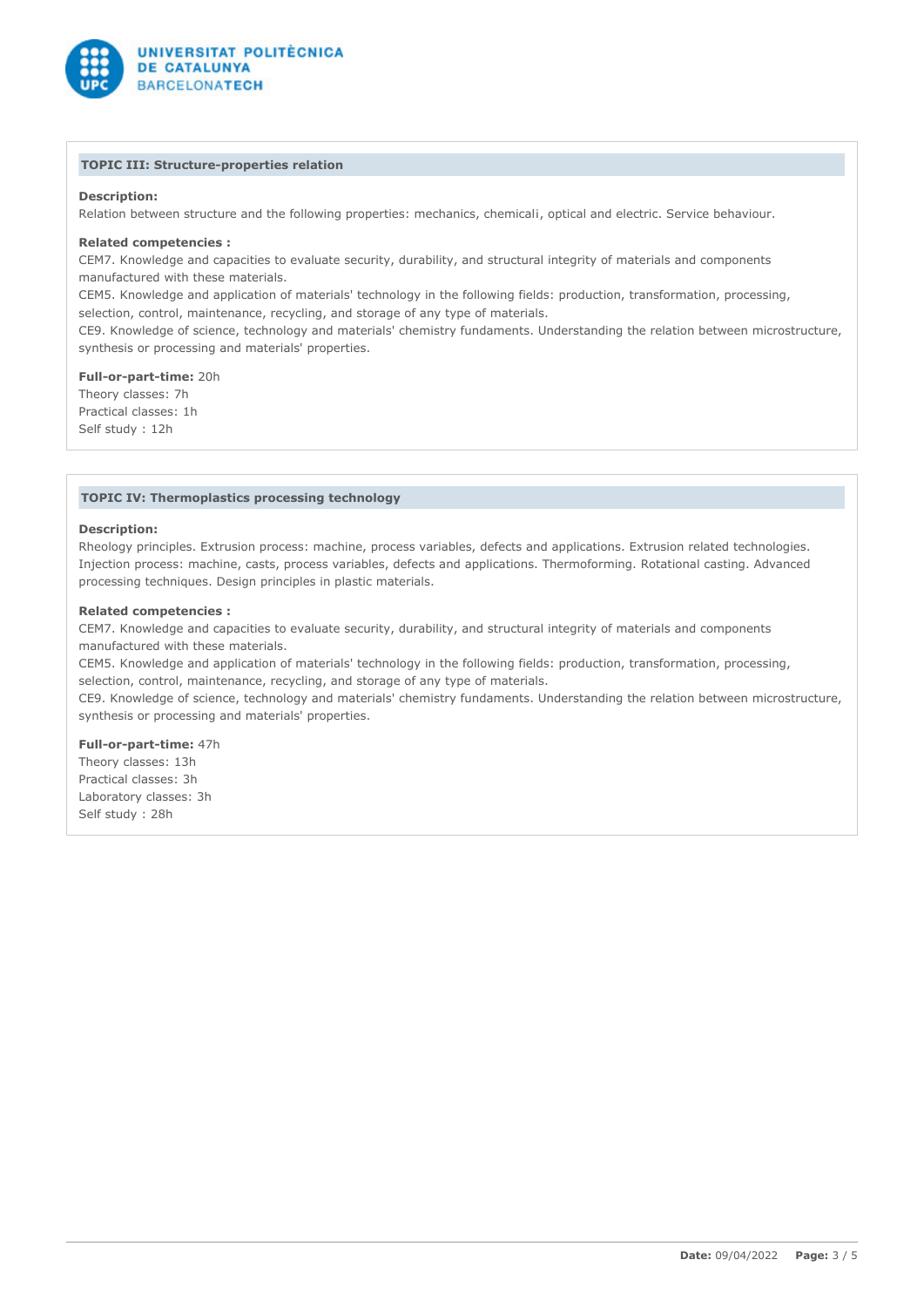

# **TOPIC III: Structure-properties relation**

# **Description:**

Relation between structure and the following properties: mechanics, chemicali, optical and electric. Service behaviour.

#### **Related competencies :**

CEM7. Knowledge and capacities to evaluate security, durability, and structural integrity of materials and components manufactured with these materials.

CEM5. Knowledge and application of materials' technology in the following fields: production, transformation, processing, selection, control, maintenance, recycling, and storage of any type of materials.

CE9. Knowledge of science, technology and materials' chemistry fundaments. Understanding the relation between microstructure, synthesis or processing and materials' properties.

### **Full-or-part-time:** 20h

Theory classes: 7h Practical classes: 1h Self study : 12h

## **TOPIC IV: Thermoplastics processing technology**

#### **Description:**

Rheology principles. Extrusion process: machine, process variables, defects and applications. Extrusion related technologies. Injection process: machine, casts, process variables, defects and applications. Thermoforming. Rotational casting. Advanced processing techniques. Design principles in plastic materials.

#### **Related competencies :**

CEM7. Knowledge and capacities to evaluate security, durability, and structural integrity of materials and components manufactured with these materials.

CEM5. Knowledge and application of materials' technology in the following fields: production, transformation, processing, selection, control, maintenance, recycling, and storage of any type of materials.

CE9. Knowledge of science, technology and materials' chemistry fundaments. Understanding the relation between microstructure, synthesis or processing and materials' properties.

**Full-or-part-time:** 47h Theory classes: 13h Practical classes: 3h Laboratory classes: 3h Self study : 28h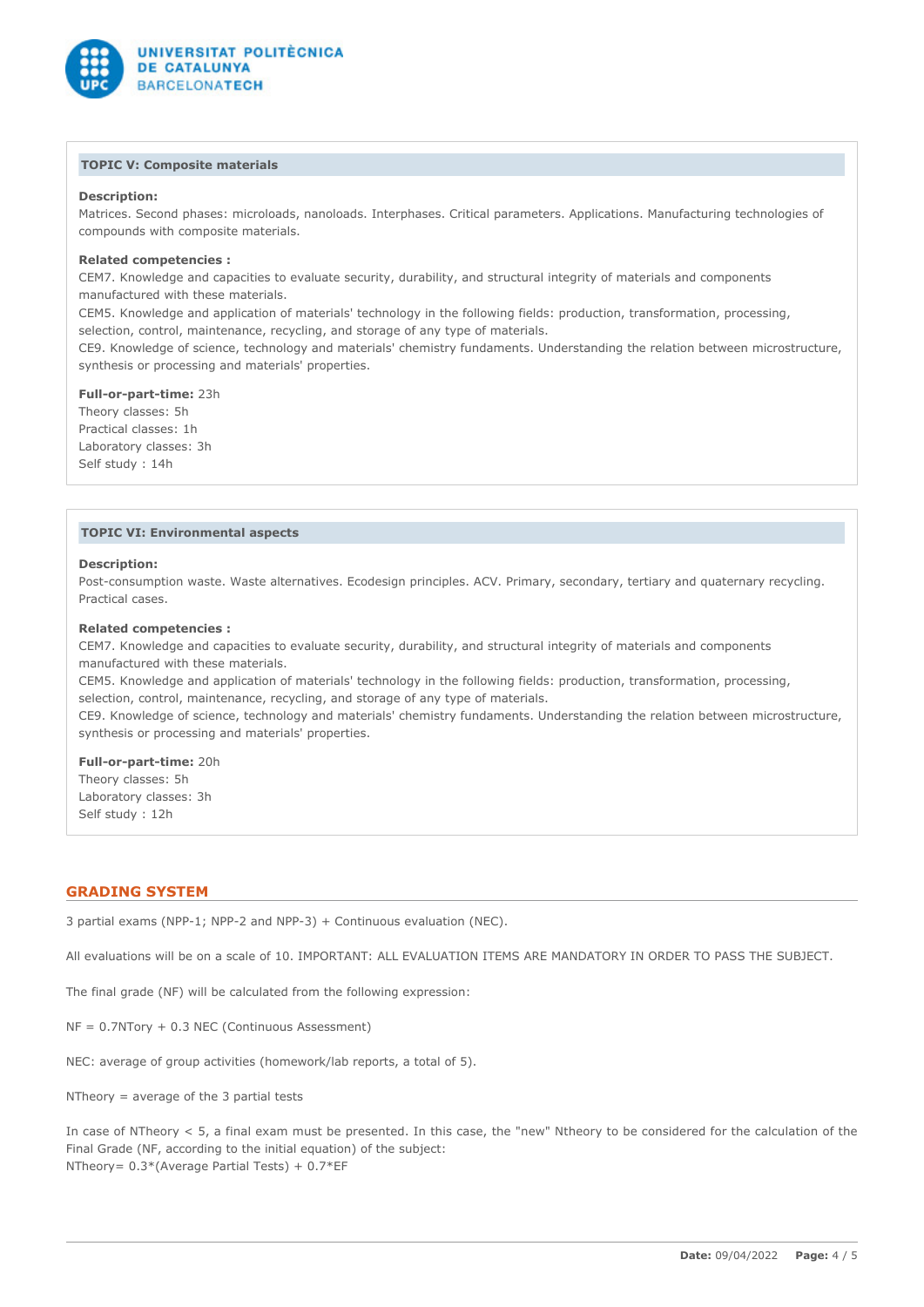

## **TOPIC V: Composite materials**

# **Description:**

Matrices. Second phases: microloads, nanoloads. Interphases. Critical parameters. Applications. Manufacturing technologies of compounds with composite materials.

# **Related competencies :**

CEM7. Knowledge and capacities to evaluate security, durability, and structural integrity of materials and components manufactured with these materials.

CEM5. Knowledge and application of materials' technology in the following fields: production, transformation, processing, selection, control, maintenance, recycling, and storage of any type of materials.

CE9. Knowledge of science, technology and materials' chemistry fundaments. Understanding the relation between microstructure, synthesis or processing and materials' properties.

**Full-or-part-time:** 23h Theory classes: 5h Practical classes: 1h Laboratory classes: 3h Self study : 14h

## **TOPIC VI: Environmental aspects**

#### **Description:**

Post-consumption waste. Waste alternatives. Ecodesign principles. ACV. Primary, secondary, tertiary and quaternary recycling. Practical cases.

#### **Related competencies :**

CEM7. Knowledge and capacities to evaluate security, durability, and structural integrity of materials and components manufactured with these materials.

CEM5. Knowledge and application of materials' technology in the following fields: production, transformation, processing, selection, control, maintenance, recycling, and storage of any type of materials.

CE9. Knowledge of science, technology and materials' chemistry fundaments. Understanding the relation between microstructure, synthesis or processing and materials' properties.

**Full-or-part-time:** 20h Theory classes: 5h Laboratory classes: 3h Self study : 12h

# **GRADING SYSTEM**

3 partial exams (NPP-1; NPP-2 and NPP-3) + Continuous evaluation (NEC).

All evaluations will be on a scale of 10. IMPORTANT: ALL EVALUATION ITEMS ARE MANDATORY IN ORDER TO PASS THE SUBJECT.

The final grade (NF) will be calculated from the following expression:

 $NF = 0.7NTory + 0.3 NEC (Continuous Assessment)$ 

NEC: average of group activities (homework/lab reports, a total of 5).

NTheory = average of the 3 partial tests

In case of NTheory < 5, a final exam must be presented. In this case, the "new" Ntheory to be considered for the calculation of the Final Grade (NF, according to the initial equation) of the subject: NTheory= 0.3\*(Average Partial Tests) + 0.7\*EF